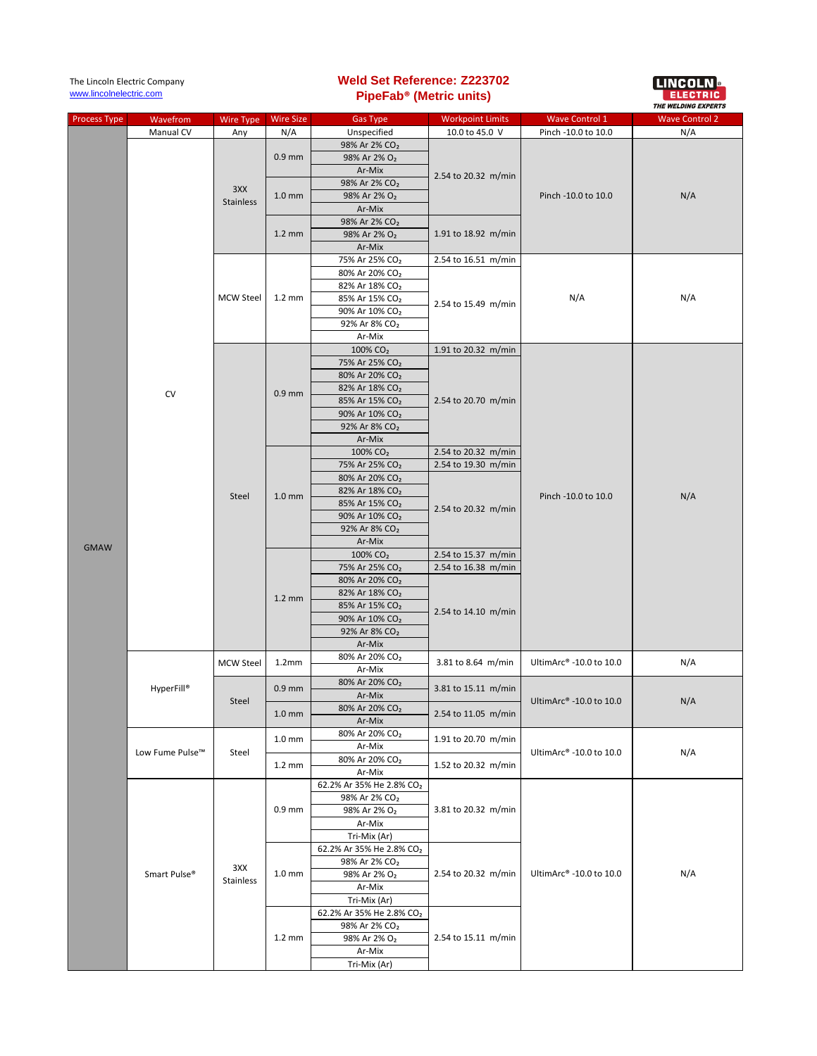| The Lincoln Electric Company<br>www.lincolnelectric.com |                 |                         | <b>Weld Set Reference: Z223702</b><br>PipeFab <sup>®</sup> (Metric units) |                                                                 |                                                                   | I LINCOLN <b>B</b><br>EE EE PIIE SI LA<br><b>THE WELDING EXPERTS</b> |                       |
|---------------------------------------------------------|-----------------|-------------------------|---------------------------------------------------------------------------|-----------------------------------------------------------------|-------------------------------------------------------------------|----------------------------------------------------------------------|-----------------------|
| <b>Process Type</b>                                     | Wavefrom        | Wire Type               | <b>Wire Size</b>                                                          | <b>Gas Type</b>                                                 | <b>Workpoint Limits</b>                                           | <b>Wave Control 1</b>                                                | <b>Wave Control 2</b> |
|                                                         | Manual CV       | Any                     | N/A<br>$0.9$ mm                                                           | Unspecified<br>98% Ar 2% CO <sub>2</sub>                        | 10.0 to 45.0 V<br>2.54 to 20.32 m/min                             | Pinch -10.0 to 10.0                                                  | N/A<br>N/A            |
|                                                         |                 | 3XX<br><b>Stainless</b> |                                                                           | 98% Ar 2% O <sub>2</sub><br>Ar-Mix                              |                                                                   | Pinch -10.0 to 10.0                                                  |                       |
|                                                         |                 |                         | $1.0 \text{ mm}$                                                          | 98% Ar 2% CO <sub>2</sub><br>98% Ar 2% O <sub>2</sub>           |                                                                   |                                                                      |                       |
|                                                         |                 |                         | $1.2 \text{ mm}$                                                          | Ar-Mix<br>98% Ar 2% CO <sub>2</sub><br>98% Ar 2% O <sub>2</sub> | 1.91 to 18.92 m/min                                               |                                                                      |                       |
|                                                         |                 |                         |                                                                           | Ar-Mix                                                          |                                                                   |                                                                      |                       |
|                                                         |                 |                         |                                                                           | 75% Ar 25% CO <sub>2</sub><br>80% Ar 20% CO <sub>2</sub>        | 2.54 to 16.51 m/min<br>2.54 to 15.49 m/min                        |                                                                      | N/A                   |
|                                                         |                 |                         |                                                                           | 82% Ar 18% CO <sub>2</sub>                                      |                                                                   |                                                                      |                       |
|                                                         |                 | <b>MCW Steel</b>        | $1.2 \text{ mm}$                                                          | 85% Ar 15% CO <sub>2</sub>                                      |                                                                   | N/A                                                                  |                       |
|                                                         |                 |                         |                                                                           | 90% Ar 10% CO <sub>2</sub>                                      |                                                                   |                                                                      |                       |
|                                                         |                 |                         |                                                                           | 92% Ar 8% CO <sub>2</sub><br>Ar-Mix                             |                                                                   |                                                                      |                       |
|                                                         |                 |                         |                                                                           | 100% CO <sub>2</sub>                                            | 1.91 to 20.32 m/min                                               |                                                                      | N/A                   |
|                                                         |                 |                         |                                                                           | 75% Ar 25% CO <sub>2</sub>                                      |                                                                   |                                                                      |                       |
|                                                         |                 |                         |                                                                           | 80% Ar 20% CO <sub>2</sub>                                      |                                                                   |                                                                      |                       |
|                                                         | <b>CV</b>       |                         | $0.9$ mm                                                                  | 82% Ar 18% CO <sub>2</sub>                                      | 2.54 to 20.70 m/min                                               |                                                                      |                       |
|                                                         |                 |                         |                                                                           | 85% Ar 15% CO <sub>2</sub><br>90% Ar 10% CO <sub>2</sub>        |                                                                   |                                                                      |                       |
|                                                         |                 |                         |                                                                           | 92% Ar 8% CO <sub>2</sub>                                       |                                                                   |                                                                      |                       |
|                                                         |                 |                         |                                                                           | Ar-Mix                                                          |                                                                   |                                                                      |                       |
|                                                         |                 |                         |                                                                           | 100% CO <sub>2</sub>                                            | 2.54 to 20.32 m/min                                               |                                                                      |                       |
|                                                         |                 |                         |                                                                           | 75% Ar 25% CO <sub>2</sub>                                      | 2.54 to 19.30 m/min<br>2.54 to 20.32 m/min<br>2.54 to 15.37 m/min |                                                                      |                       |
|                                                         |                 |                         |                                                                           | 80% Ar 20% CO <sub>2</sub><br>82% Ar 18% CO <sub>2</sub>        |                                                                   |                                                                      |                       |
|                                                         |                 | <b>Steel</b>            | 1.0 <sub>mm</sub>                                                         | 85% Ar 15% CO <sub>2</sub>                                      |                                                                   | Pinch -10.0 to 10.0                                                  |                       |
|                                                         |                 |                         |                                                                           | 90% Ar 10% CO <sub>2</sub>                                      |                                                                   |                                                                      |                       |
|                                                         |                 |                         |                                                                           | 92% Ar 8% CO <sub>2</sub>                                       |                                                                   |                                                                      |                       |
| <b>GMAW</b>                                             |                 |                         |                                                                           | Ar-Mix<br>100% CO <sub>2</sub>                                  |                                                                   |                                                                      |                       |
|                                                         |                 |                         | $1.2 \text{ mm}$                                                          | 75% Ar 25% CO <sub>2</sub>                                      | 2.54 to 16.38 m/min                                               |                                                                      |                       |
|                                                         |                 |                         |                                                                           | 80% Ar 20% CO <sub>2</sub>                                      | 2.54 to 14.10 m/min                                               |                                                                      |                       |
|                                                         |                 |                         |                                                                           | 82% Ar 18% CO <sub>2</sub>                                      |                                                                   |                                                                      |                       |
|                                                         |                 |                         |                                                                           | 85% Ar 15% CO <sub>2</sub>                                      |                                                                   |                                                                      |                       |
|                                                         |                 |                         |                                                                           | 90% Ar 10% CO <sub>2</sub><br>92% Ar 8% CO <sub>2</sub>         |                                                                   |                                                                      |                       |
|                                                         |                 |                         |                                                                           | Ar-Mix                                                          |                                                                   |                                                                      |                       |
|                                                         | HyperFill®      | MCW Steel               | 1.2 <sub>mm</sub>                                                         | 80% Ar 20% CO <sub>2</sub><br>Ar-Mix                            | 3.81 to 8.64 m/min                                                | UltimArc® -10.0 to 10.0                                              | N/A                   |
|                                                         |                 | Steel                   | $0.9$ mm<br>1.0 <sub>mm</sub>                                             | 80% Ar 20% CO <sub>2</sub><br>Ar-Mix                            | 3.81 to 15.11 m/min<br>2.54 to 11.05 m/min                        | UltimArc® -10.0 to 10.0                                              | N/A                   |
|                                                         |                 |                         |                                                                           | 80% Ar 20% CO <sub>2</sub><br>Ar-Mix                            |                                                                   |                                                                      |                       |
|                                                         | Low Fume Pulse™ | Steel                   | $1.0 \text{ mm}$                                                          | 80% Ar 20% CO <sub>2</sub><br>Ar-Mix                            | 1.91 to 20.70 m/min                                               | UltimArc® -10.0 to 10.0                                              | N/A                   |
|                                                         |                 |                         | $1.2 \text{ mm}$                                                          | 80% Ar 20% CO <sub>2</sub><br>Ar-Mix                            | 1.52 to 20.32 m/min                                               |                                                                      |                       |
|                                                         | Smart Pulse®    | 3XX<br>Stainless        | $0.9$ mm                                                                  | 62.2% Ar 35% He 2.8% CO2                                        | 3.81 to 20.32 m/min                                               | UltimArc® -10.0 to 10.0                                              | N/A                   |
|                                                         |                 |                         |                                                                           | 98% Ar 2% CO <sub>2</sub>                                       |                                                                   |                                                                      |                       |
|                                                         |                 |                         |                                                                           | 98% Ar 2% O <sub>2</sub><br>Ar-Mix                              |                                                                   |                                                                      |                       |
|                                                         |                 |                         |                                                                           | Tri-Mix (Ar)                                                    |                                                                   |                                                                      |                       |
|                                                         |                 |                         | $1.0 \text{ mm}$                                                          | 62.2% Ar 35% He 2.8% CO2                                        | 2.54 to 20.32 m/min                                               |                                                                      |                       |
|                                                         |                 |                         |                                                                           | 98% Ar 2% CO <sub>2</sub>                                       |                                                                   |                                                                      |                       |
|                                                         |                 |                         |                                                                           | 98% Ar 2% O <sub>2</sub><br>Ar-Mix                              |                                                                   |                                                                      |                       |
|                                                         |                 |                         |                                                                           | Tri-Mix (Ar)                                                    |                                                                   |                                                                      |                       |
|                                                         |                 |                         | $1.2 \text{ mm}$                                                          | 62.2% Ar 35% He 2.8% CO2                                        | 2.54 to 15.11 m/min                                               |                                                                      |                       |
|                                                         |                 |                         |                                                                           | 98% Ar 2% CO <sub>2</sub>                                       |                                                                   |                                                                      |                       |
|                                                         |                 |                         |                                                                           | 98% Ar 2% O <sub>2</sub><br>Ar-Mix                              |                                                                   |                                                                      |                       |
|                                                         |                 |                         |                                                                           | Tri-Mix (Ar)                                                    |                                                                   |                                                                      |                       |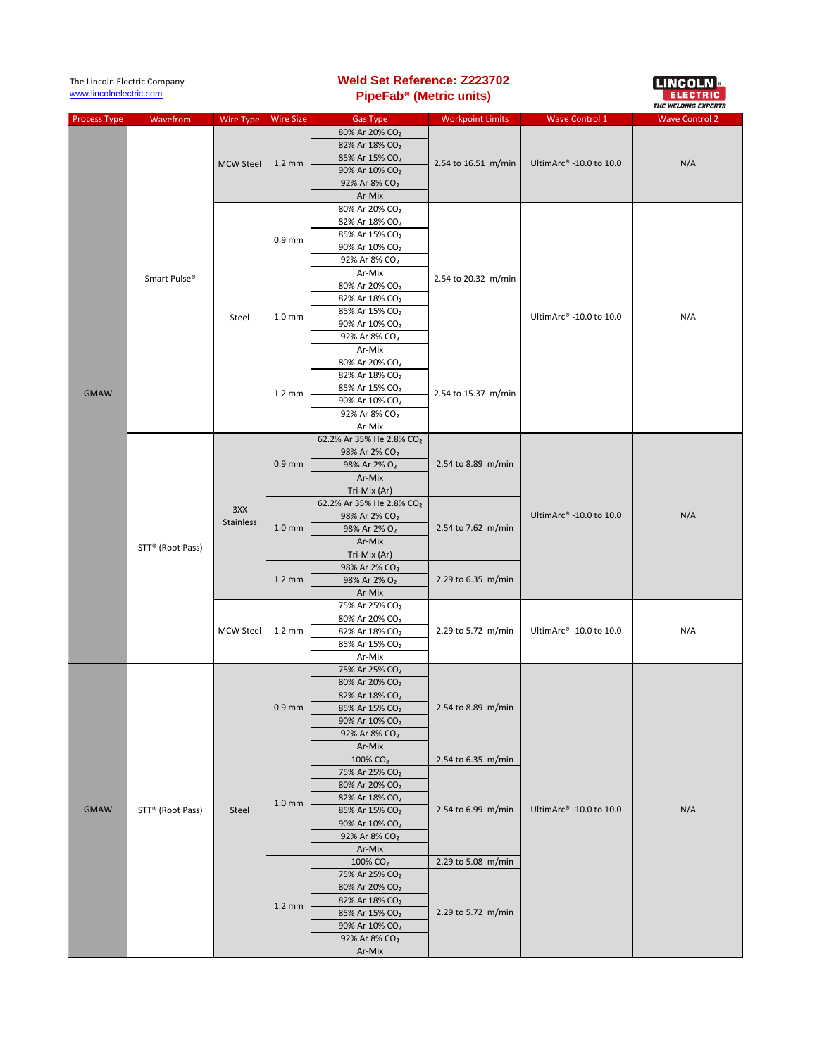| The Lincoln Electric Company<br>www.lincolnelectric.com |                  |                  | <b>Weld Set Reference: Z223702</b><br>PipeFab <sup>®</sup> (Metric units) |                                                          |                                            |                         | <b>LINCOLN &amp;</b><br><b>THE WELDING EXPERTS</b> |
|---------------------------------------------------------|------------------|------------------|---------------------------------------------------------------------------|----------------------------------------------------------|--------------------------------------------|-------------------------|----------------------------------------------------|
| <b>Process Type</b>                                     | Wavefrom         | <b>Wire Type</b> | <b>Wire Size</b>                                                          | <b>Gas Type</b>                                          | <b>Workpoint Limits</b>                    | <b>Wave Control 1</b>   | <b>Wave Control 2</b>                              |
|                                                         |                  |                  |                                                                           | 80% Ar 20% CO <sub>2</sub>                               |                                            |                         |                                                    |
|                                                         |                  |                  |                                                                           | 82% Ar 18% CO <sub>2</sub>                               |                                            |                         |                                                    |
|                                                         |                  |                  |                                                                           | 85% Ar 15% CO <sub>2</sub>                               |                                            |                         |                                                    |
|                                                         | Smart Pulse®     | <b>MCW Steel</b> | $1.2 \text{ mm}$                                                          | 90% Ar 10% CO <sub>2</sub>                               | 2.54 to 16.51 m/min                        | UltimArc® -10.0 to 10.0 | N/A                                                |
|                                                         |                  |                  |                                                                           | 92% Ar 8% CO <sub>2</sub>                                |                                            |                         |                                                    |
|                                                         |                  |                  |                                                                           | Ar-Mix                                                   |                                            |                         |                                                    |
|                                                         |                  | Steel            | $0.9$ mm                                                                  | 80% Ar 20% CO <sub>2</sub>                               | 2.54 to 20.32 m/min<br>2.54 to 15.37 m/min | UltimArc® -10.0 to 10.0 | N/A                                                |
|                                                         |                  |                  |                                                                           | 82% Ar 18% CO <sub>2</sub>                               |                                            |                         |                                                    |
|                                                         |                  |                  |                                                                           | 85% Ar 15% CO <sub>2</sub>                               |                                            |                         |                                                    |
|                                                         |                  |                  |                                                                           | 90% Ar 10% CO <sub>2</sub>                               |                                            |                         |                                                    |
|                                                         |                  |                  |                                                                           | 92% Ar 8% CO <sub>2</sub>                                |                                            |                         |                                                    |
|                                                         |                  |                  |                                                                           | Ar-Mix                                                   |                                            |                         |                                                    |
|                                                         |                  |                  | 1.0 <sub>mm</sub>                                                         | 80% Ar 20% CO <sub>2</sub>                               |                                            |                         |                                                    |
|                                                         |                  |                  |                                                                           | 82% Ar 18% CO <sub>2</sub>                               |                                            |                         |                                                    |
|                                                         |                  |                  |                                                                           | 85% Ar 15% CO <sub>2</sub><br>90% Ar 10% CO <sub>2</sub> |                                            |                         |                                                    |
|                                                         |                  |                  |                                                                           | 92% Ar 8% CO <sub>2</sub>                                |                                            |                         |                                                    |
|                                                         |                  |                  |                                                                           | Ar-Mix                                                   |                                            |                         |                                                    |
|                                                         |                  |                  |                                                                           | 80% Ar 20% CO <sub>2</sub>                               |                                            |                         |                                                    |
|                                                         |                  |                  |                                                                           | 82% Ar 18% CO <sub>2</sub>                               |                                            |                         |                                                    |
|                                                         |                  |                  |                                                                           | 85% Ar 15% CO <sub>2</sub>                               |                                            |                         |                                                    |
| <b>GMAW</b>                                             |                  |                  | $1.2 \text{ mm}$                                                          | 90% Ar 10% CO <sub>2</sub>                               |                                            |                         |                                                    |
|                                                         |                  |                  |                                                                           | 92% Ar 8% CO <sub>2</sub>                                |                                            |                         |                                                    |
|                                                         |                  |                  |                                                                           | Ar-Mix                                                   |                                            |                         |                                                    |
|                                                         |                  |                  |                                                                           | 62.2% Ar 35% He 2.8% CO2                                 | 2.54 to 8.89 m/min                         | UltimArc® -10.0 to 10.0 | N/A                                                |
|                                                         |                  |                  |                                                                           | 98% Ar 2% CO <sub>2</sub>                                |                                            |                         |                                                    |
|                                                         | STT® (Root Pass) |                  | $0.9$ mm                                                                  | 98% Ar 2% O <sub>2</sub>                                 |                                            |                         |                                                    |
|                                                         |                  |                  |                                                                           | Ar-Mix                                                   |                                            |                         |                                                    |
|                                                         |                  | 3XX<br>Stainless |                                                                           | Tri-Mix (Ar)                                             |                                            |                         |                                                    |
|                                                         |                  |                  | $1.0 \text{ mm}$                                                          | 62.2% Ar 35% He 2.8% CO2                                 | 2.54 to 7.62 m/min                         |                         |                                                    |
|                                                         |                  |                  |                                                                           | 98% Ar 2% CO <sub>2</sub>                                |                                            |                         |                                                    |
|                                                         |                  |                  |                                                                           | 98% Ar 2% O <sub>2</sub>                                 |                                            |                         |                                                    |
|                                                         |                  |                  |                                                                           | Ar-Mix<br>Tri-Mix (Ar)                                   |                                            |                         |                                                    |
|                                                         |                  |                  | $1.2 \text{ mm}$                                                          | 98% Ar 2% CO <sub>2</sub>                                | 2.29 to 6.35 m/min                         |                         |                                                    |
|                                                         |                  |                  |                                                                           | 98% Ar 2% O <sub>2</sub>                                 |                                            |                         |                                                    |
|                                                         |                  |                  |                                                                           | Ar-Mix                                                   |                                            |                         |                                                    |
|                                                         |                  | <b>MCW Steel</b> |                                                                           | 75% Ar 25% CO <sub>2</sub>                               | 2.29 to 5.72 m/min                         | UltimArc® -10.0 to 10.0 | N/A                                                |
|                                                         |                  |                  |                                                                           | 80% Ar 20% CO <sub>2</sub>                               |                                            |                         |                                                    |
|                                                         |                  |                  | $1.2 \text{ mm}$                                                          | 82% Ar 18% CO <sub>2</sub>                               |                                            |                         |                                                    |
|                                                         |                  |                  |                                                                           | 85% Ar 15% CO <sub>2</sub>                               |                                            |                         |                                                    |
|                                                         |                  |                  |                                                                           | Ar-Mix                                                   |                                            |                         |                                                    |
|                                                         | STT® (Root Pass) | Steel            | $0.9$ mm                                                                  | 75% Ar 25% CO <sub>2</sub>                               |                                            |                         |                                                    |
|                                                         |                  |                  |                                                                           | 80% Ar 20% CO <sub>2</sub>                               | 2.54 to 8.89 m/min                         |                         |                                                    |
|                                                         |                  |                  |                                                                           | 82% Ar 18% CO <sub>2</sub>                               |                                            |                         |                                                    |
|                                                         |                  |                  |                                                                           | 85% Ar 15% CO <sub>2</sub>                               |                                            |                         |                                                    |
|                                                         |                  |                  |                                                                           | 90% Ar 10% CO <sub>2</sub><br>92% Ar 8% CO <sub>2</sub>  |                                            | UltimArc® -10.0 to 10.0 | N/A                                                |
|                                                         |                  |                  |                                                                           | Ar-Mix                                                   |                                            |                         |                                                    |
|                                                         |                  |                  |                                                                           | 100% CO <sub>2</sub>                                     | 2.54 to 6.35 m/min                         |                         |                                                    |
|                                                         |                  |                  | 1.0 <sub>mm</sub>                                                         | 75% Ar 25% CO <sub>2</sub>                               |                                            |                         |                                                    |
|                                                         |                  |                  |                                                                           | 80% Ar 20% CO <sub>2</sub>                               | 2.54 to 6.99 m/min                         |                         |                                                    |
| <b>GMAW</b>                                             |                  |                  |                                                                           | 82% Ar 18% CO <sub>2</sub>                               |                                            |                         |                                                    |
|                                                         |                  |                  |                                                                           | 85% Ar 15% CO <sub>2</sub>                               |                                            |                         |                                                    |
|                                                         |                  |                  |                                                                           | 90% Ar 10% CO <sub>2</sub>                               |                                            |                         |                                                    |
|                                                         |                  |                  |                                                                           | 92% Ar 8% CO <sub>2</sub>                                |                                            |                         |                                                    |
|                                                         |                  |                  |                                                                           | Ar-Mix                                                   |                                            |                         |                                                    |
|                                                         |                  |                  | $1.2 \text{ mm}$                                                          | 100% CO <sub>2</sub>                                     | 2.29 to 5.08 m/min                         |                         |                                                    |
|                                                         |                  |                  |                                                                           | 75% Ar 25% CO <sub>2</sub>                               | 2.29 to 5.72 m/min                         |                         |                                                    |
|                                                         |                  |                  |                                                                           | 80% Ar 20% CO <sub>2</sub>                               |                                            |                         |                                                    |
|                                                         |                  |                  |                                                                           | 82% Ar 18% CO <sub>2</sub>                               |                                            |                         |                                                    |
|                                                         |                  |                  |                                                                           | 85% Ar 15% CO <sub>2</sub><br>90% Ar 10% CO <sub>2</sub> |                                            |                         |                                                    |
|                                                         |                  |                  |                                                                           | 92% Ar 8% CO <sub>2</sub>                                |                                            |                         |                                                    |
|                                                         |                  |                  |                                                                           | Ar-Mix                                                   |                                            |                         |                                                    |
|                                                         |                  |                  |                                                                           |                                                          |                                            |                         |                                                    |